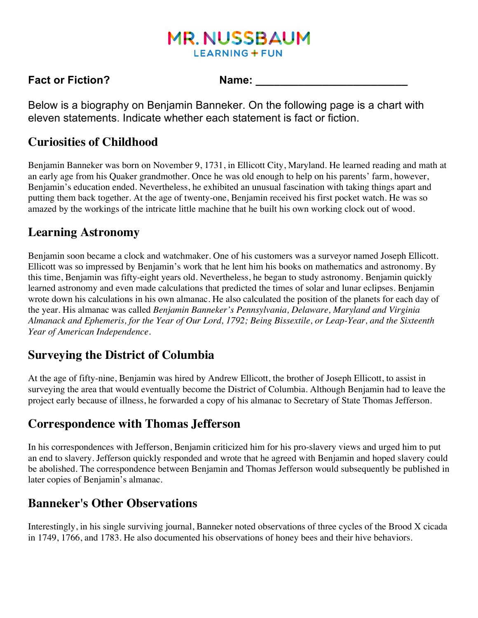# **MR. NUSSBAUM LEARNING + FUN**

#### **Fact or Fiction?** Name:

Below is a biography on Benjamin Banneker. On the following page is a chart with eleven statements. Indicate whether each statement is fact or fiction.

#### **Curiosities of Childhood**

Benjamin Banneker was born on November 9, 1731, in Ellicott City, Maryland. He learned reading and math at an early age from his Quaker grandmother. Once he was old enough to help on his parents' farm, however, Benjamin's education ended. Nevertheless, he exhibited an unusual fascination with taking things apart and putting them back together. At the age of twenty-one, Benjamin received his first pocket watch. He was so amazed by the workings of the intricate little machine that he built his own working clock out of wood.

### **Learning Astronomy**

Benjamin soon became a clock and watchmaker. One of his customers was a surveyor named Joseph Ellicott. Ellicott was so impressed by Benjamin's work that he lent him his books on mathematics and astronomy. By this time, Benjamin was fifty-eight years old. Nevertheless, he began to study astronomy. Benjamin quickly learned astronomy and even made calculations that predicted the times of solar and lunar eclipses. Benjamin wrote down his calculations in his own almanac. He also calculated the position of the planets for each day of the year. His almanac was called *Benjamin Banneker's Pennsylvania, Delaware, Maryland and Virginia Almanack and Ephemeris, for the Year of Our Lord, 1792; Being Bissextile, or Leap-Year, and the Sixteenth Year of American Independence*.

### **Surveying the District of Columbia**

At the age of fifty-nine, Benjamin was hired by Andrew Ellicott, the brother of Joseph Ellicott, to assist in surveying the area that would eventually become the District of Columbia. Although Benjamin had to leave the project early because of illness, he forwarded a copy of his almanac to Secretary of State Thomas Jefferson.

### **Correspondence with Thomas Jefferson**

In his correspondences with Jefferson, Benjamin criticized him for his pro-slavery views and urged him to put an end to slavery. Jefferson quickly responded and wrote that he agreed with Benjamin and hoped slavery could be abolished. The correspondence between Benjamin and Thomas Jefferson would subsequently be published in later copies of Benjamin's almanac.

### **Banneker's Other Observations**

Interestingly, in his single surviving journal, Banneker noted observations of three cycles of the Brood X cicada in 1749, 1766, and 1783. He also documented his observations of honey bees and their hive behaviors.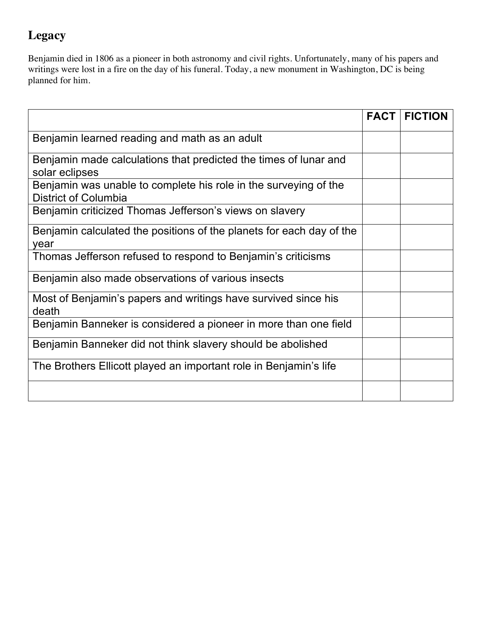# **Legacy**

Benjamin died in 1806 as a pioneer in both astronomy and civil rights. Unfortunately, many of his papers and writings were lost in a fire on the day of his funeral. Today, a new monument in Washington, DC is being planned for him.

|                                                                                                 | <b>FACT</b> | <b>FICTION</b> |
|-------------------------------------------------------------------------------------------------|-------------|----------------|
| Benjamin learned reading and math as an adult                                                   |             |                |
| Benjamin made calculations that predicted the times of lunar and<br>solar eclipses              |             |                |
| Benjamin was unable to complete his role in the surveying of the<br><b>District of Columbia</b> |             |                |
| Benjamin criticized Thomas Jefferson's views on slavery                                         |             |                |
| Benjamin calculated the positions of the planets for each day of the<br>year                    |             |                |
| Thomas Jefferson refused to respond to Benjamin's criticisms                                    |             |                |
| Benjamin also made observations of various insects                                              |             |                |
| Most of Benjamin's papers and writings have survived since his<br>death                         |             |                |
| Benjamin Banneker is considered a pioneer in more than one field                                |             |                |
| Benjamin Banneker did not think slavery should be abolished                                     |             |                |
| The Brothers Ellicott played an important role in Benjamin's life                               |             |                |
|                                                                                                 |             |                |